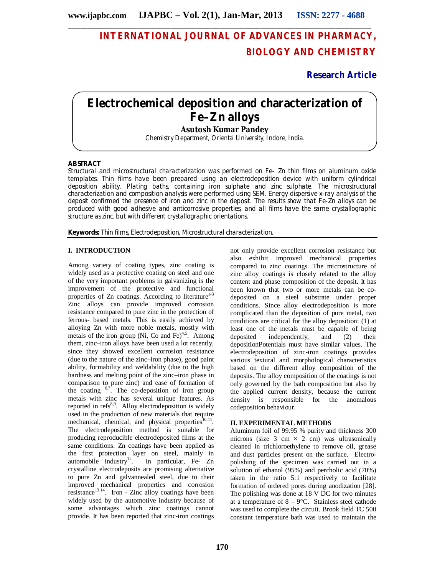# **INTERNATIONAL JOURNAL OF ADVANCES IN PHARMACY, BIOLOGY AND CHEMISTRY**

**Research Article**

# **Electrochemical deposition and characterization of Fe–Zn alloys**

**Asutosh Kumar Pandey**

Chemistry Department, Oriental University, Indore, India.

## **ABSTRACT**

Structural and microstructural characterization was performed on Fe- Zn thin films on aluminum oxide templates. Thin films have been prepared using an electrodeposition device with uniform cylindrical deposition ability. Plating baths, containing iron sulphate and zinc sulphate. The microstructural characterization and composition analysis were performed using SEM. Energy dispersive x-ray analysis of the deposit confirmed the presence of iron and zinc in the deposit. The results show that Fe-Zn alloys can be produced with good adhesive and anticorrosive properties, and all films have the same crystallographic structure as zinc, but with different crystallographic orientations.

**Keywords:** Thin films, Electrodeposition, Microstructural characterization.

## **I. INTRODUCTION**

Among variety of coating types, zinc coating is widely used as a protective coating on steel and one of the very important problems in galvanizing is the improvement of the protective and functional properties of  $Zn$  coatings. According to literature<sup>1-3</sup> Zinc alloys can provide improved corrosion resistance compared to pure zinc in the protection of ferrous- based metals. This is easily achieved by alloying Zn with more noble metals, mostly with metals of the iron group (Ni, Co and Fe) $4.5$ . Among them, zinc–iron alloys have been used a lot recently, since they showed excellent corrosion resistance (due to the nature of the zinc–iron phase), good paint ability, formability and weldability (due to the high hardness and melting point of the zinc–iron phase in comparison to pure zinc) and ease of formation of the coating  $6.7$ . The co-deposition of iron group metals with zinc has several unique features. As reported in refs<sup>8,9</sup>. Alloy electrodeposition is widely used in the production of new materials that require mechanical, chemical, and physical properties<sup>10</sup> . The electrodeposition method is suitable for producing reproducible electrodeposited films at the same conditions. Zn coatings have been applied as the first protection layer on steel, mainly in  $automobile$  industry<sup>12</sup>. . In particular, Fe- Zn crystalline electrodeposits are promising alternative to pure Zn and galvannealed steel, due to their improved mechanical properties and corrosion  $resistance^{13,14}$ . Iron - Zinc alloy coatings have been widely used by the automotive industry because of some advantages which zinc coatings cannot provide. It has been reported that zinc-iron coatings

not only provide excellent corrosion resistance but also exhibit improved mechanical properties compared to zinc coatings. The microstructure of zinc alloy coatings is closely related to the alloy content and phase composition of the deposit. It has been known that two or more metals can be codeposited on a steel substrate under proper conditions. Since alloy electrodeposition is more complicated than the deposition of pure metal, two conditions are critical for the alloy deposition: (1) at least one of the metals must be capable of being deposited independently, and (2) their depositionPotentials must have similar values. The electrodeposition of zinc-iron coatings provides various textural and morphological characteristics based on the different alloy composition of the deposits. The alloy composition of the coatings is not only governed by the bath composition but also by the applied current density, because the current density is responsible for the anomalous codeposition behaviour.

## **II. EXPERIMENTAL METHODS**

Aluminum foil of 99.95 % purity and thickness 300 microns (size 3 cm  $\times$  2 cm) was ultrasonically cleaned in trichloroethylene to remove oil, grease and dust particles present on the surface. Electropolishing of the specimen was carried out in a solution of ethanol (95%) and percholic acid (70%) taken in the ratio 5:1 respectively to facilitate formation of ordered pores during anodization [28]. The polishing was done at 18 V DC for two minutes at a temperature of  $8 - 9^{\circ}$ C. Stainless steel cathode was used to complete the circuit. Brook field TC 500 constant temperature bath was used to maintain the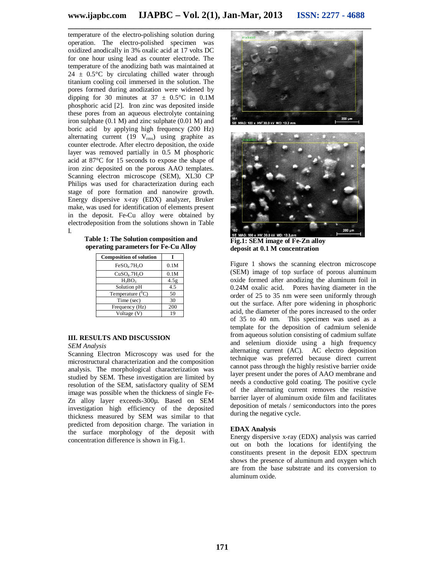temperature of the electro-polishing solution during operation. The electro-polished specimen was oxidized anodically in 3% oxalic acid at 17 volts DC for one hour using lead as counter electrode. The temperature of the anodizing bath was maintained at  $24 \pm 0.5^{\circ}$ C by circulating chilled water through titanium cooling coil immersed in the solution. The pores formed during anodization were widened by dipping for 30 minutes at  $37 \pm 0.5^{\circ}\text{C}$  in 0.1M phosphoric acid [2]. Iron zinc was deposited inside these pores from an aqueous electrolyte containing iron sulphate (0.1 M) and zinc sulphate (0.01 M) and boric acid by applying high frequency (200 Hz) alternating current  $(19 \text{ V}_{\text{rms}})$  using graphite as counter electrode. After electro deposition, the oxide layer was removed partially in  $\tilde{0.5}$  M phosphoric acid at 87°C for 15 seconds to expose the shape of iron zinc deposited on the porous AAO templates. Scanning electron microscope (SEM), XL30 CP Philips was used for characterization during each stage of pore formation and nanowire growth. Energy dispersive x-ray (EDX) analyzer, Bruker make, was used for identification of elements present in the deposit. Fe-Cu alloy were obtained by electrodeposition from the solutions shown in Table I.

**Table 1: The Solution composition and operating parameters for Fe-Cu Alloy**

| <b>Composition of solution</b>       |                  |
|--------------------------------------|------------------|
| FeSO <sub>4</sub> .7H <sub>2</sub> O | 0.1M             |
| CuSO <sub>4</sub> .7H <sub>2</sub> O | 0.1M             |
| $H_3BO_3$                            | 4.5 <sub>g</sub> |
| Solution pH                          | 4.5              |
| Temperature $(^0C)$                  | 50               |
| Time (sec)                           | 30               |
| Frequency (Hz)                       | 200              |
| Voltage (V)                          | 19               |

### **III. RESULTS AND DISCUSSION**

*SEM Analysis*

Scanning Electron Microscopy was used for the microstructural characterization and the composition analysis. The morphological characterization was studied by SEM. These investigation are limited by resolution of the SEM, satisfactory quality of SEM image was possible when the thickness of single Fe-Zn alloy layer exceeds-300µ. Based on SEM investigation high efficiency of the deposited thickness measured by SEM was similar to that predicted from deposition charge. The variation in the surface morphology of the deposit with concentration difference is shown in Fig.1.





**Fig.1: SEM image of Fe-Zn alloy deposit at 0.1 M concentration**

Figure 1 shows the scanning electron microscope (SEM) image of top surface of porous aluminum oxide formed after anodizing the aluminum foil in 0.24M oxalic acid. Pores having diameter in the order of 25 to 35 nm were seen uniformly through out the surface. After pore widening in phosphoric acid, the diameter of the pores increased to the order of 35 to 40 nm. This specimen was used as a template for the deposition of cadmium selenide from aqueous solution consisting of cadmium sulfate and selenium dioxide using a high frequency alternating current (AC). AC electro deposition technique was preferred because direct current cannot pass through the highly resistive barrier oxide layer present under the pores of AAO membrane and needs a conductive gold coating. The positive cycle of the alternating current removes the resistive barrier layer of aluminum oxide film and facilitates deposition of metals / semiconductors into the pores during the negative cycle.

### **EDAX Analysis**

Energy dispersive x-ray (EDX) analysis was carried out on both the locations for identifying the constituents present in the deposit EDX spectrum shows the presence of aluminum and oxygen which are from the base substrate and its conversion to aluminum oxide.